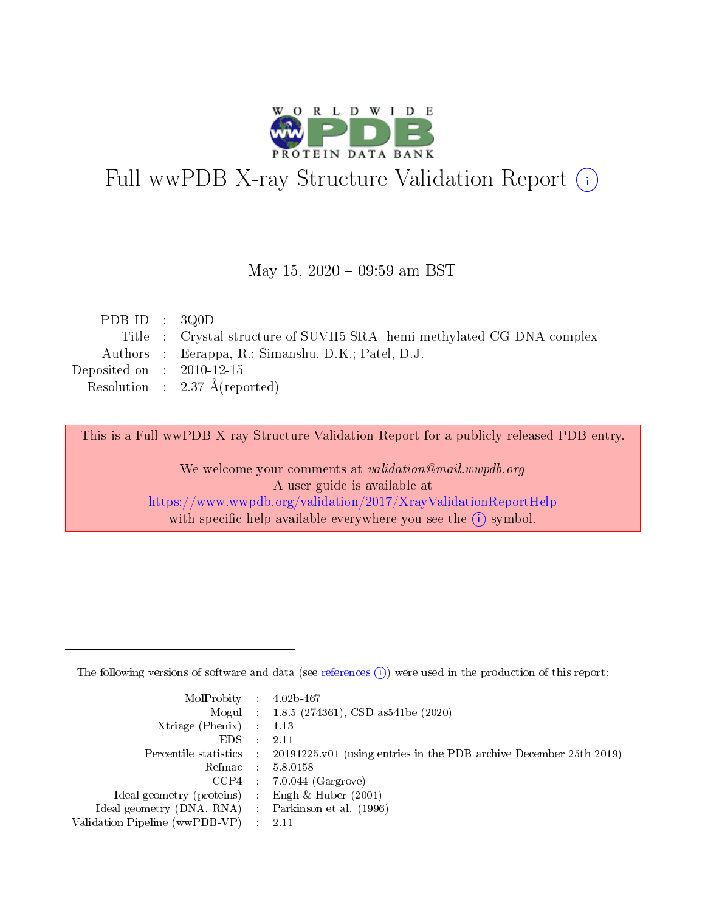

# Full wwPDB X-ray Structure Validation Report (i)

#### May 15,  $2020 - 09:59$  am BST

| PDB ID : $3Q0D$             |                                                                        |
|-----------------------------|------------------------------------------------------------------------|
|                             | Title : Crystal structure of SUVH5 SRA- hemi methylated CG DNA complex |
|                             | Authors : Eerappa, R.; Simanshu, D.K.; Patel, D.J.                     |
| Deposited on : $2010-12-15$ |                                                                        |
|                             |                                                                        |
|                             | Resolution : $2.37 \text{ Å}$ (reported)                               |

This is a Full wwPDB X-ray Structure Validation Report for a publicly released PDB entry.

We welcome your comments at validation@mail.wwpdb.org A user guide is available at <https://www.wwpdb.org/validation/2017/XrayValidationReportHelp> with specific help available everywhere you see the  $(i)$  symbol.

The following versions of software and data (see [references](https://www.wwpdb.org/validation/2017/XrayValidationReportHelp#references)  $(1)$ ) were used in the production of this report:

| $MolProbability$ : 4.02b-467                       |               |                                                                                            |
|----------------------------------------------------|---------------|--------------------------------------------------------------------------------------------|
|                                                    |               | Mogul : $1.8.5$ (274361), CSD as 541be (2020)                                              |
| Xtriage (Phenix) $: 1.13$                          |               |                                                                                            |
| EDS.                                               | $\mathcal{L}$ | -2.11                                                                                      |
|                                                    |               | Percentile statistics : 20191225.v01 (using entries in the PDB archive December 25th 2019) |
|                                                    |               | Refmac : 5.8.0158                                                                          |
|                                                    |               | $CCP4$ 7.0.044 (Gargrove)                                                                  |
| Ideal geometry (proteins) : Engh $\&$ Huber (2001) |               |                                                                                            |
| Ideal geometry (DNA, RNA) Parkinson et al. (1996)  |               |                                                                                            |
| Validation Pipeline (wwPDB-VP) : 2.11              |               |                                                                                            |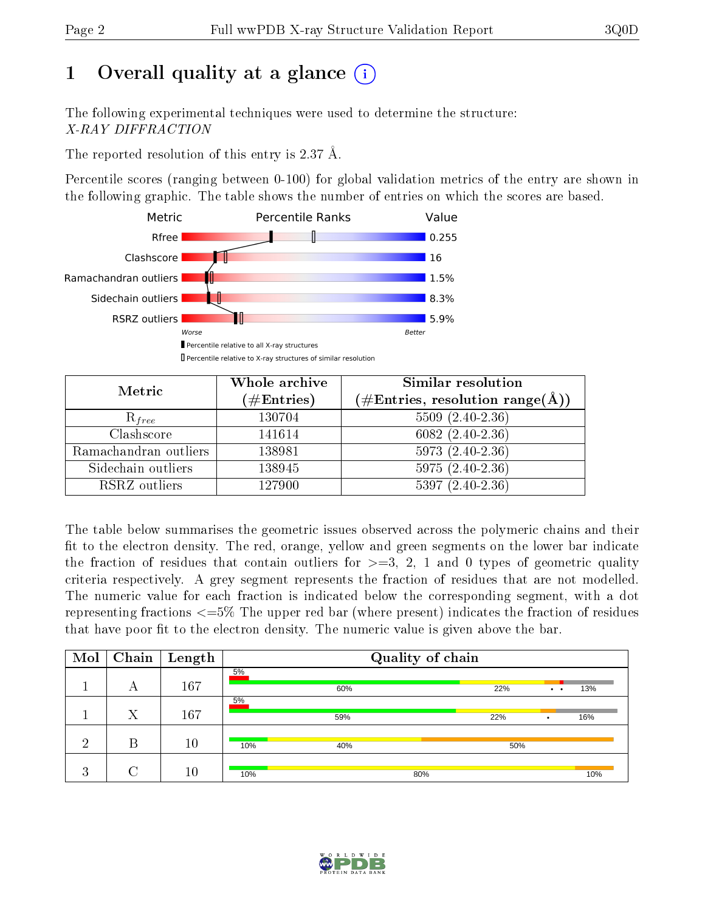# 1 [O](https://www.wwpdb.org/validation/2017/XrayValidationReportHelp#overall_quality)verall quality at a glance  $(i)$

The following experimental techniques were used to determine the structure: X-RAY DIFFRACTION

The reported resolution of this entry is 2.37 Å.

Percentile scores (ranging between 0-100) for global validation metrics of the entry are shown in the following graphic. The table shows the number of entries on which the scores are based.



| Metric                | Whole archive<br>$(\#\mathrm{Entries})$ | Similar resolution<br>$(\#\text{Entries},\,\text{resolution}\,\,\text{range}(\textup{\AA}))$ |
|-----------------------|-----------------------------------------|----------------------------------------------------------------------------------------------|
| $R_{free}$            | 130704                                  | $5509 (2.40 - 2.36)$                                                                         |
| Clashscore            | 141614                                  | $6082(2.40-2.36)$                                                                            |
| Ramachandran outliers | 138981                                  | $5973(2.40-2.36)$                                                                            |
| Sidechain outliers    | 138945                                  | $5975(2.40-2.36)$                                                                            |
| RSRZ outliers         | 127900                                  | $5397(2.40-2.36)$                                                                            |

The table below summarises the geometric issues observed across the polymeric chains and their fit to the electron density. The red, orange, yellow and green segments on the lower bar indicate the fraction of residues that contain outliers for  $>=3, 2, 1$  and 0 types of geometric quality criteria respectively. A grey segment represents the fraction of residues that are not modelled. The numeric value for each fraction is indicated below the corresponding segment, with a dot representing fractions <=5% The upper red bar (where present) indicates the fraction of residues that have poor fit to the electron density. The numeric value is given above the bar.

| Mol     | Chain | $\vert$ Length |     |     | Quality of chain |     |           |     |
|---------|-------|----------------|-----|-----|------------------|-----|-----------|-----|
|         | А     | 167            | 5%  | 60% |                  | 22% | $\bullet$ | 13% |
|         | Χ     | 167            | 5%  | 59% |                  | 22% |           | 16% |
| റ       | В     | 10             | 10% | 40% |                  | 50% |           |     |
| 2<br>Æ. |       | 10             | 10% |     | 80%              |     |           | 10% |

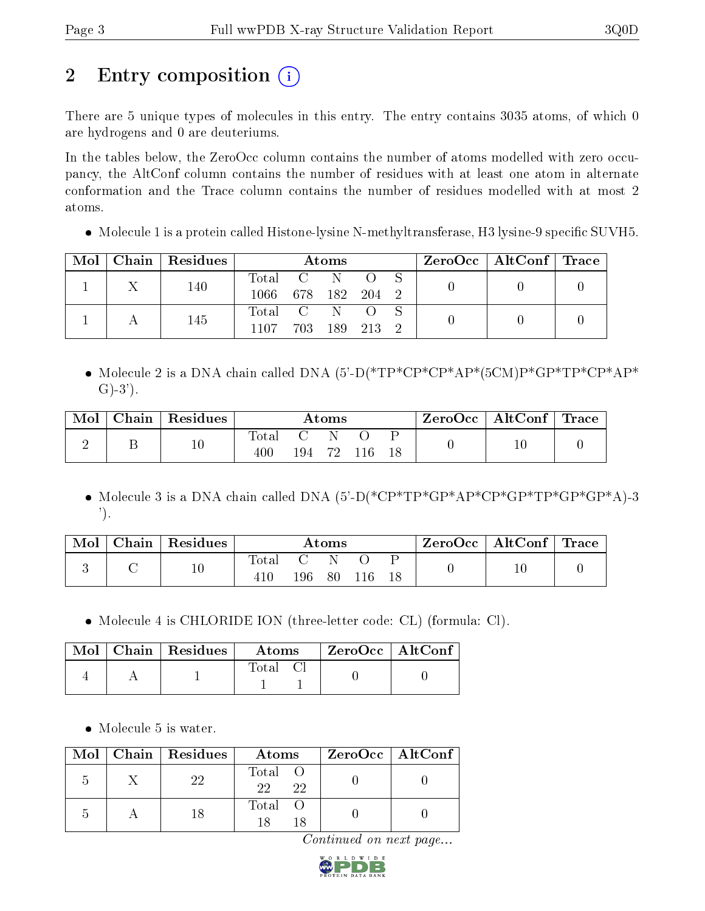# 2 Entry composition  $\binom{1}{1}$

There are 5 unique types of molecules in this entry. The entry contains 3035 atoms, of which 0 are hydrogens and 0 are deuteriums.

In the tables below, the ZeroOcc column contains the number of atoms modelled with zero occupancy, the AltConf column contains the number of residues with at least one atom in alternate conformation and the Trace column contains the number of residues modelled with at most 2 atoms.

• Molecule 1 is a protein called Histone-lysine N-methyltransferase, H3 lysine-9 specific SUVH5.

| Mol | Chain   Residues |           |               | Atoms |       |  | ZeroOcc   AltConf   Trace |  |
|-----|------------------|-----------|---------------|-------|-------|--|---------------------------|--|
|     | 140              | Total C N |               |       |       |  |                           |  |
|     |                  | 1066-     | 678 182 204 2 |       |       |  |                           |  |
|     | 145              | Total C N |               |       |       |  |                           |  |
|     |                  | 1107      | 703.          | 189   | 213 2 |  |                           |  |

• Molecule 2 is a DNA chain called DNA  $(5^{\circ}$ -D(\*TP\*CP\*AP\*(5CM)P\*GP\*TP\*CP\*AP\*  $G$ )-3').

| Mol | ${\bf Chain}$ | $\,$ Residues | Atoms        |     |    | $ZeroOcc \mid AltConf \mid$ | $^\mathrm{+}$ Trace |  |  |
|-----|---------------|---------------|--------------|-----|----|-----------------------------|---------------------|--|--|
|     |               | $10\,$        | Total<br>400 | 194 | 70 |                             |                     |  |  |

• Molecule 3 is a DNA chain called DNA  $(5^{\circ}D(*CP*TP*GP*AP*CP*GP*TP*GP*GP*GP*GP*GP*GP*AP*)$ -3 ').

| Mol | $Chain   Residues$ | Atoms                 |     |    | ZeroOcc   AltConf   Trace |  |        |  |
|-----|--------------------|-----------------------|-----|----|---------------------------|--|--------|--|
|     | $10\,$             | $\text{Total}$<br>410 | 196 | 80 | 116                       |  | $10\,$ |  |

Molecule 4 is CHLORIDE ION (three-letter code: CL) (formula: Cl).

|  | $\text{Mol}$   Chain   Residues | Atoms | ZeroOcc   AltConf |
|--|---------------------------------|-------|-------------------|
|  |                                 | Total |                   |

• Molecule 5 is water.

|  | Mol   Chain   Residues | Atoms               | ZeroOcc   AltConf |
|--|------------------------|---------------------|-------------------|
|  | 99                     | Total O<br>22<br>22 |                   |
|  |                        | Total O             |                   |

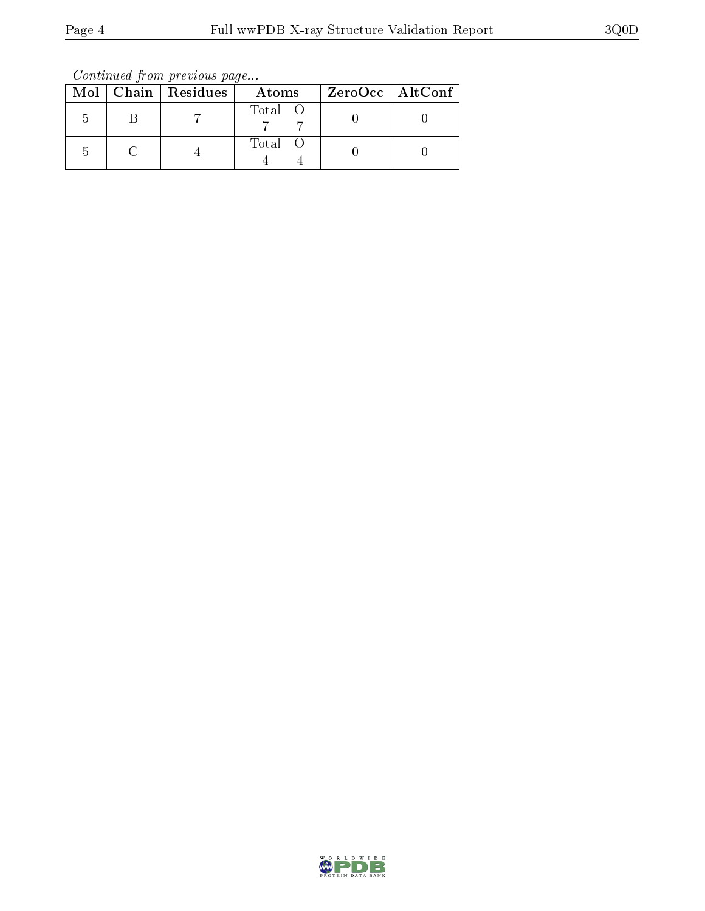Continued from previous page...

|  | Mol   Chain   Residues | Atoms   | $ZeroOcc \   \ AltConf \  $ |
|--|------------------------|---------|-----------------------------|
|  |                        | Total O |                             |
|  |                        | Total O |                             |

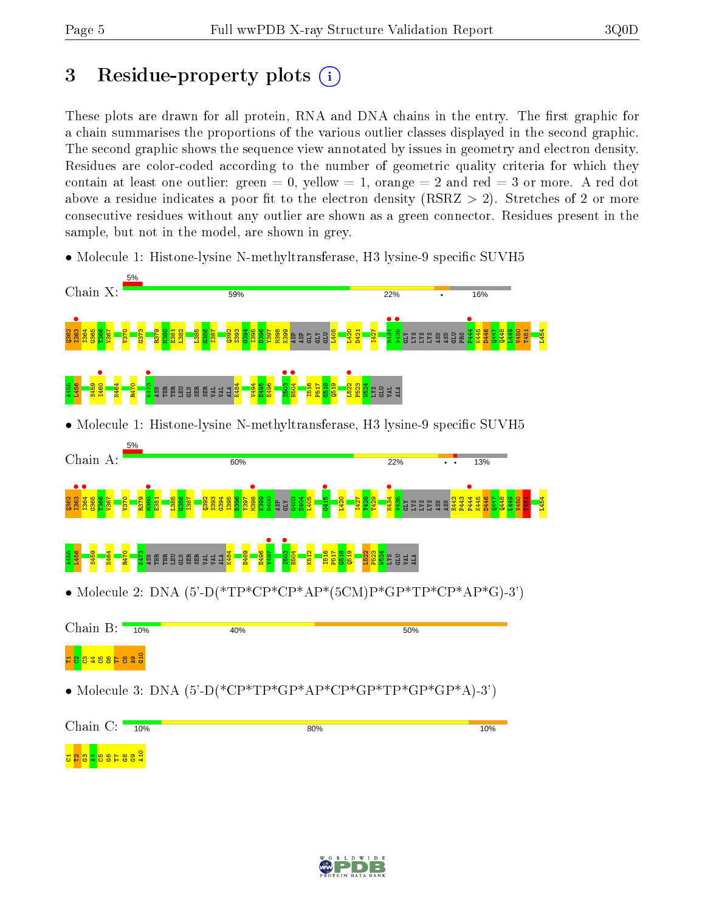# 3 Residue-property plots  $(i)$

These plots are drawn for all protein, RNA and DNA chains in the entry. The first graphic for a chain summarises the proportions of the various outlier classes displayed in the second graphic. The second graphic shows the sequence view annotated by issues in geometry and electron density. Residues are color-coded according to the number of geometric quality criteria for which they contain at least one outlier: green  $= 0$ , yellow  $= 1$ , orange  $= 2$  and red  $= 3$  or more. A red dot above a residue indicates a poor fit to the electron density (RSRZ  $>$  2). Stretches of 2 or more consecutive residues without any outlier are shown as a green connector. Residues present in the sample, but not in the model, are shown in grey.

• Molecule 1: Histone-lysine N-methyltransferase, H3 lysine-9 specific SUVH5





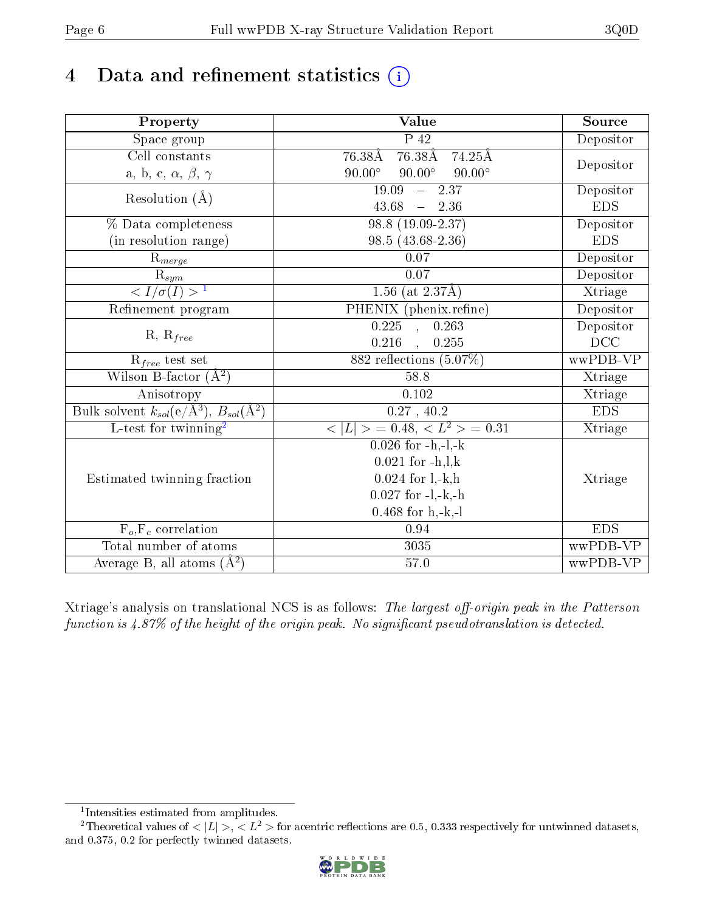# 4 Data and refinement statistics  $(i)$

| Property                                                         | Value                                                    | Source     |
|------------------------------------------------------------------|----------------------------------------------------------|------------|
| Space group                                                      | $\overline{P}$ 42                                        | Depositor  |
| Cell constants                                                   | 76.38Å 76.38Å 74.25Å                                     |            |
| a, b, c, $\alpha$ , $\beta$ , $\gamma$                           | $90.00^\circ$<br>$90.00^\circ$<br>$90.00^\circ$          | Depositor  |
| Resolution $(\AA)$                                               | $-2.37$<br>19.09                                         | Depositor  |
|                                                                  | 43.68<br>$-2.36$                                         | <b>EDS</b> |
| % Data completeness                                              | 98.8 (19.09-2.37)                                        | Depositor  |
| (in resolution range)                                            | 98.5 (43.68-2.36)                                        | <b>EDS</b> |
| $R_{merge}$                                                      | $0.07\,$                                                 | Depositor  |
| $\frac{R_{sym}}{{}1}$                                            | $0.07\,$                                                 | Depositor  |
|                                                                  | $1.56$ (at 2.37Å)                                        | Xtriage    |
| Refinement program                                               | PHENIX (phenix.refine)                                   | Depositor  |
|                                                                  | 0.263<br>$\overline{0.225}$ ,                            | Depositor  |
| $R, R_{free}$                                                    | 0.216<br>, 0.255                                         | DCC        |
| $\mathcal{R}_{free}$ test set                                    | $882$ reflections $(5.07\%)$                             | wwPDB-VP   |
| Wilson B-factor $(A^2)$                                          | 58.8                                                     | Xtriage    |
| Anisotropy                                                       | 0.102                                                    | Xtriage    |
| Bulk solvent $k_{sol}(\text{e}/\text{A}^3), B_{sol}(\text{A}^2)$ | 0.27, 40.2                                               | <b>EDS</b> |
| L-test for twinning <sup>2</sup>                                 | $\langle  L  \rangle = 0.48, \langle L^2 \rangle = 0.31$ | Xtriage    |
|                                                                  | $0.026$ for $-h,-1,-k$                                   |            |
|                                                                  | $0.021$ for $-h, l, k$                                   |            |
| Estimated twinning fraction                                      | $0.024$ for $1, -k, h$                                   | Xtriage    |
|                                                                  | $0.027$ for $-l,-k,-h$                                   |            |
|                                                                  | $0.468$ for $h, -k, -l$                                  |            |
| $F_o, F_c$ correlation                                           | 0.94                                                     | <b>EDS</b> |
| Total number of atoms                                            | 3035                                                     | wwPDB-VP   |
| Average B, all atoms $(A^2)$                                     | $57.0\,$                                                 | wwPDB-VP   |

Xtriage's analysis on translational NCS is as follows: The largest off-origin peak in the Patterson function is  $4.87\%$  of the height of the origin peak. No significant pseudotranslation is detected.

<sup>&</sup>lt;sup>2</sup>Theoretical values of  $\langle |L| \rangle$ ,  $\langle L^2 \rangle$  for acentric reflections are 0.5, 0.333 respectively for untwinned datasets, and 0.375, 0.2 for perfectly twinned datasets.



<span id="page-5-1"></span><span id="page-5-0"></span><sup>1</sup> Intensities estimated from amplitudes.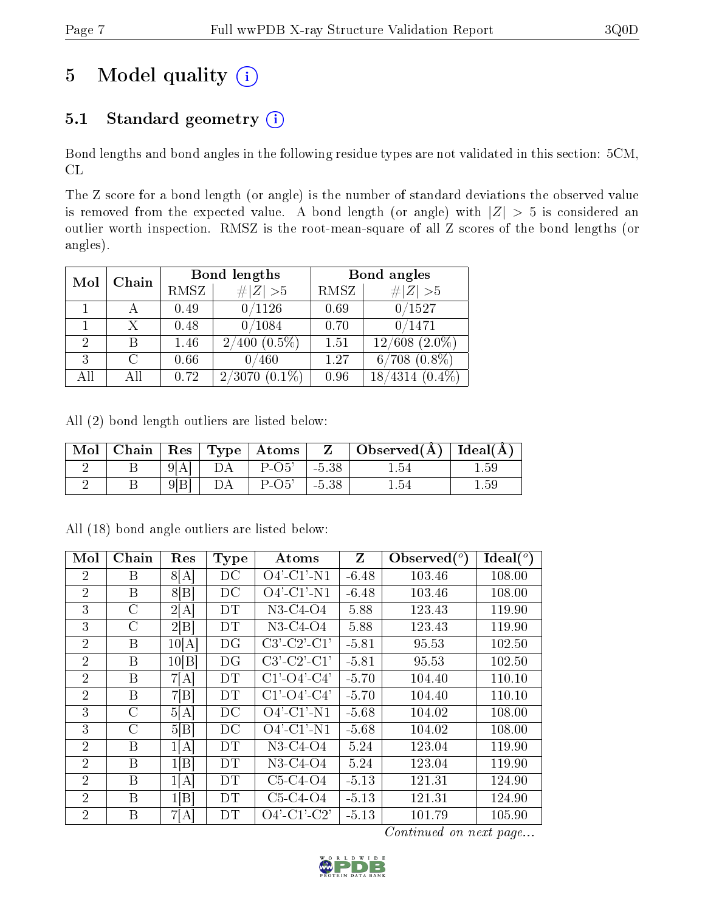# 5 Model quality  $(i)$

## 5.1 Standard geometry  $(i)$

Bond lengths and bond angles in the following residue types are not validated in this section: 5CM, CL

The Z score for a bond length (or angle) is the number of standard deviations the observed value is removed from the expected value. A bond length (or angle) with  $|Z| > 5$  is considered an outlier worth inspection. RMSZ is the root-mean-square of all Z scores of the bond lengths (or angles).

| Mol            | Chain |      | Bond lengths        | Bond angles |                              |  |
|----------------|-------|------|---------------------|-------------|------------------------------|--|
|                |       | RMSZ | $\# Z  > 5$         | RMSZ        | # $ Z >5$                    |  |
|                |       | 0.49 | 0/1126              | 0.69        | 0/1527                       |  |
|                | Х     | 0.48 | 0/1084              | 0.70        | 0/1471                       |  |
| $\overline{2}$ | В     | 1.46 | $2/400$ $(0.5\%)$   | 1.51        | $(2.0\%)$<br>12/608          |  |
| 3              | C     | 0.66 | 0/460               | 1.27        | $6/708$ $(0.8\%)$            |  |
| All            | All   | 0.72 | $(0.1\%)$<br>2/3070 | 0.96        | $^{\prime}4314$<br>$(0.4\%)$ |  |

All (2) bond length outliers are listed below:

| Mol | Chain   Res   Type |    | $\vert$ Atoms |         | Observed $(A)$ Ideal $(A)$ |      |
|-----|--------------------|----|---------------|---------|----------------------------|------|
|     |                    | DΑ | $P-O5'$       | $-5.38$ | 1.54                       | 1.59 |
|     |                    |    | $P-O5'$       | $-5.38$ | 1.54                       | 1.59 |

| Mol            | Chain          | Res   | <b>Type</b> | $\rm{Atoms}$          | Z       | Observed $(°)$ | $\text{Ideal}({}^o)$ |
|----------------|----------------|-------|-------------|-----------------------|---------|----------------|----------------------|
| 2              | Β              | 8[A]  | DC          | $O4'$ -C1'-N1         | $-6.48$ | 103.46         | 108.00               |
| $\overline{2}$ | $\overline{B}$ | 8 B   | DC          | $O4'$ -C1'-N1         | $-6.48$ | 103.46         | 108.00               |
| 3              | $\mathcal{C}$  | 2[A]  | DТ          | N3-C4-O4              | 5.88    | 123.43         | 119.90               |
| 3              | С              | 2 B   | DT          | N3-C4-O4              | 5.88    | 123.43         | 119.90               |
| $\overline{2}$ | Β              | 10[A] | DG          | $C3'-C2'-C1'$         | $-5.81$ | 95.53          | 102.50               |
| $\overline{2}$ | B              | 10[B] | DG          | $C3'-C2'-C1'$         | $-5.81$ | 95.53          | 102.50               |
| $\overline{2}$ | B              | 7[A]  | DT          | $C1'$ - $O4'$ - $C4'$ | $-5.70$ | 104.40         | 110.10               |
| $\overline{2}$ | B              | 7[B]  | DT          | $C1'$ - $O4'$ - $C4'$ | $-5.70$ | 104.40         | 110.10               |
| 3              | C              | 5[A]  | DC          | $O4'$ -C1'-N1         | $-5.68$ | 104.02         | 108.00               |
| 3              | $\rm C$        | 5 B   | DC          | $O4'$ -C1'-N1         | $-5.68$ | 104.02         | 108.00               |
| $\overline{2}$ | B              | 1[A]  | DТ          | N3-C4-O4              | 5.24    | 123.04         | 119.90               |
| $\overline{2}$ | B              | 1[B]  | DT          | N3-C4-O4              | 5.24    | 123.04         | 119.90               |
| $\overline{2}$ | B              | 1[A]  | DΤ          | $C5-C4-O4$            | $-5.13$ | 121.31         | 124.90               |
| 2              | B              | 1 B   | DT          | $C5-C4-O4$            | $-5.13$ | 121.31         | 124.90               |
| $\overline{2}$ | B              | 7[A]  | DT          | $O4'$ -C1'-C2'        | $-5.13$ | 101.79         | 105.90               |

All (18) bond angle outliers are listed below:

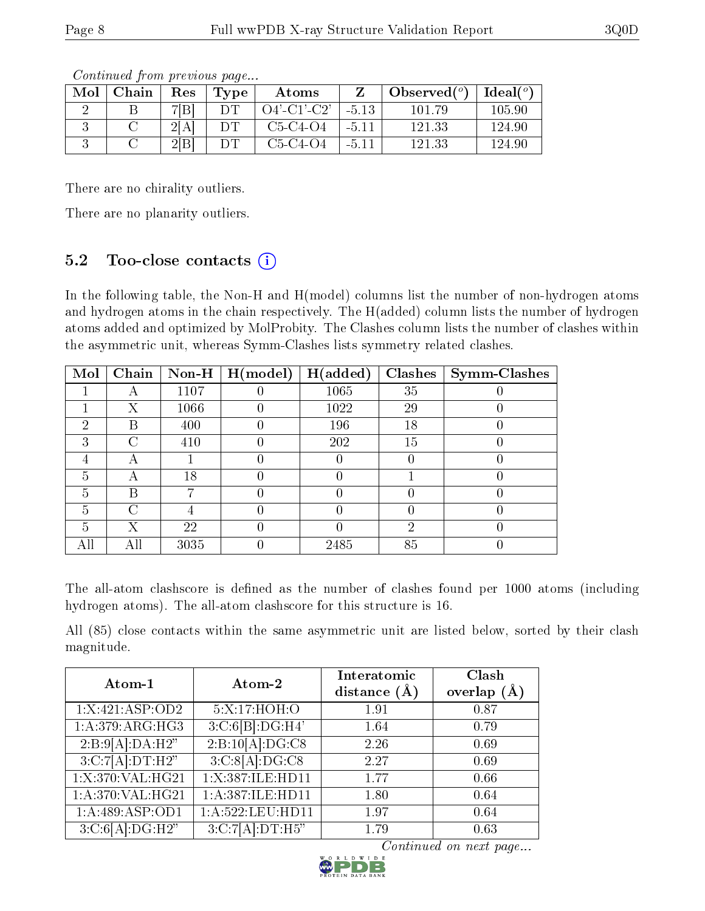| Mol | ${\bf Chain}$ | Res | Tvpe | Atoms          |         | Observed $(°)$ | Ideal( $^o$ ) |
|-----|---------------|-----|------|----------------|---------|----------------|---------------|
|     |               | 7 B |      | $O4'$ -C1'-C2' | $-5.13$ | 101 79         | 105.90        |
|     |               | 2 A |      | $C5-C4-O4$     | $-5.11$ | 121.33         | 124.90        |
|     |               | 2 B |      | $C5-C4-O4$     | $-5.11$ | 121.33         | 124.90        |

Continued from previous page...

There are no chirality outliers.

There are no planarity outliers.

### 5.2 Too-close contacts  $(i)$

In the following table, the Non-H and H(model) columns list the number of non-hydrogen atoms and hydrogen atoms in the chain respectively. The H(added) column lists the number of hydrogen atoms added and optimized by MolProbity. The Clashes column lists the number of clashes within the asymmetric unit, whereas Symm-Clashes lists symmetry related clashes.

| Mol | Chain | Non-H | H (model) | H(added) | <b>Clashes</b> | <b>Symm-Clashes</b> |
|-----|-------|-------|-----------|----------|----------------|---------------------|
|     |       | 1107  |           | 1065     | 35             |                     |
|     | Х     | 1066  |           | 1022     | 29             |                     |
| 2   | В     | 400   |           | 196      | 18             |                     |
| 3   | ∩     | 410   |           | 202      | 15             |                     |
|     | А     |       |           |          |                |                     |
| 5   | А     | 18    |           |          |                |                     |
| 5   | В     |       |           |          |                |                     |
| 5   | C     |       |           |          |                |                     |
| 5   | Χ     | 22    |           |          | റ              |                     |
| All | All   | 3035  |           | 2485     | 85             |                     |

The all-atom clashscore is defined as the number of clashes found per 1000 atoms (including hydrogen atoms). The all-atom clashscore for this structure is 16.

All (85) close contacts within the same asymmetric unit are listed below, sorted by their clash magnitude.

| Atom-1                        | Atom-2                       | Interatomic    | Clash         |
|-------------------------------|------------------------------|----------------|---------------|
|                               |                              | distance $(A)$ | overlap $(A)$ |
| $1:X:\overline{421:ASP:OD2}$  | 5:X:17:HOH:O                 | 1.91           | 0.87          |
| 1:A:379:ARG:HG3               | 3:C:6[B]:DG:H4'              | 1.64           | 0.79          |
| 2:B:9[A]:DA:H2"               | 2:B:10[A]:DG:C8              | 2.26           | 0.69          |
| 3:C:7[A]:DT:H2"               | 3:C:8[A]:DG:C8               | 2.27           | 0.69          |
| 1:X:370:VAL:HG21              | 1: X: 387: ILE: HD11         | 1.77           | 0.66          |
| 1: A:370: VAL:HG21            | 1:A:387:ILE:HD11             | 1.80           | 0.64          |
| 1:A:489:ASP:OD1               | 1:A:522:LEU:HD11             | 1.97           | 0.64          |
| $3:C:6[A]:DG:\overline{H2''}$ | $3:C:7[A]\overline{.DT:H5"}$ | 1.79           | 0.63          |

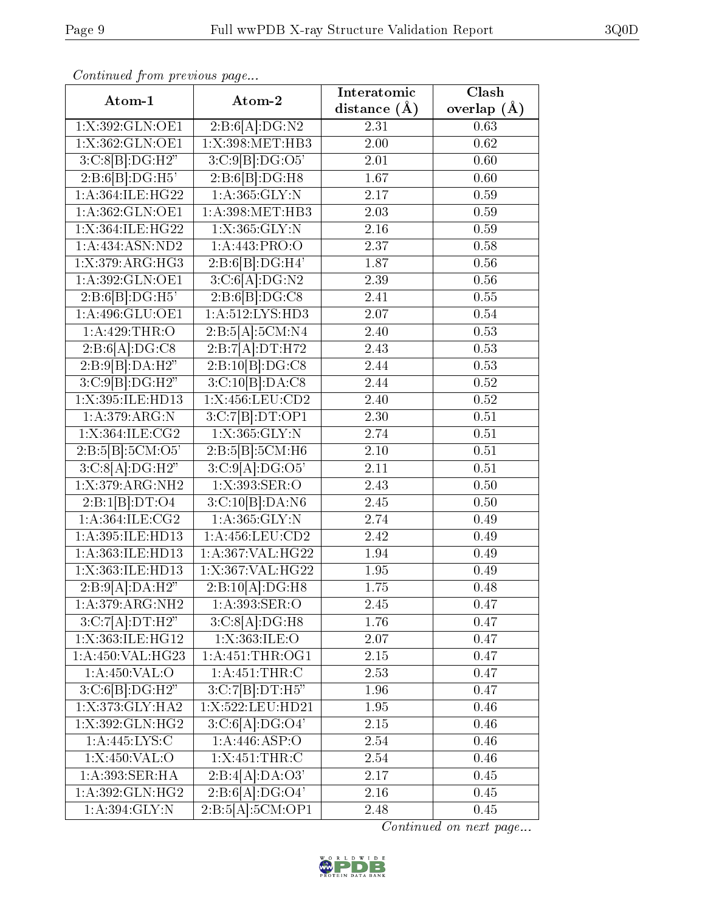| Commaca from previous page   |                                | Interatomic       | Clash         |
|------------------------------|--------------------------------|-------------------|---------------|
| Atom-1                       | Atom-2                         | distance $(\AA)$  | overlap $(A)$ |
| 1:X:392:GLN:OE1              | 2:B:6[A]:DG:N2                 | 2.31              | 0.63          |
| 1: X: 362: GLN: OE1          | 1: X: 398: MET: HB3            | $\overline{2.00}$ | 0.62          |
| $3:C:8[B]\overline{:DG:H2"}$ | 3:C:9[B]:DG:O5'                | 2.01              | 0.60          |
| 2:B:6[B]:DG:H5'              | 2:B:6[B]:DG:H8                 | 1.67              | 0.60          |
| 1: A:364: ILE: HG22          | 1: A: 365: GLY:N               | 2.17              | 0.59          |
| 1:A:362:GLN:OE1              | 1:A:398:MET:HB3                | 2.03              | 0.59          |
| 1:X:364:ILE:HG22             | 1: X: 365: GLY:N               | $2.\overline{16}$ | 0.59          |
| 1:A:434:ASN:ND2              | 1: A:443: PRO:O                | 2.37              | 0.58          |
| 1:X:379:ARG:HG3              | 2:B:6[B]:DG:H4'                | 1.87              | 0.56          |
| 1:A:392:GLN:OE1              | 3:C:6[A]:DG:N2                 | 2.39              | 0.56          |
| 2:B:6[B]:DG:H5'              | 2: B:6[B]:DG:CS                | 2.41              | 0.55          |
| 1: A:496: GLU:OE1            | 1: A: 512: LYS: HD3            | 2.07              | 0.54          |
| 1:A:429:THR:O                | 2:B:5[A]:5CM:N4                | 2.40              | 0.53          |
| 2:B:6[A]:DG:C8               | 2:B:7[A]:DT:H72                | 2.43              | 0.53          |
| 2:B:9[B]:DA:H2"              | 2:B:10[B]:DG:CS                | 2.44              | 0.53          |
| 3:C:9[B]:DG:H2"              | 3:C:10[B]:DA:CS                | 2.44              | $0.52\,$      |
| 1:X:395:ILE:HD13             | 1:X:456:LEU:CD2                | 2.40              | 0.52          |
| 1: A:379: ARG:N              | 3:C:7[B]:DT:OP1                | 2.30              | 0.51          |
| 1:X:364:ILE:CG2              | 1: X: 365: GLY:N               | 2.74              | 0.51          |
| 2:B:5[B]:5CM:O5'             | 2:B:5[B]:5CM:H6                | 2.10              | 0.51          |
| 3:C:8[A]:DG:H2"              | 3:C:9[A].DG:O5'                | 2.11              | 0.51          |
| 1:X:379:ARG:NH2              | 1:X:393:SER:O                  | 2.43              | 0.50          |
| 2:B:1[B]:DT:O4               | 3:C:10[B]:DA:N6                | 2.45              | 0.50          |
| 1: A:364: ILE: CG2           | 1: A: 365: GLY:N               | 2.74              | 0.49          |
| 1:A:395:ILE:HD13             | 1:A:456:LEU:CD2                | 2.42              | 0.49          |
| 1:A:363:ILE:HD13             | 1:A:367:VAL:HG22               | 1.94              | 0.49          |
| 1:X:363:ILE:HD13             | 1:X:367:VAL:HG22               | 1.95              | 0.49          |
| 2:B:9[A]:DA:H2"              | 2:B:10[A]:DG:H8                | 1.75              | 0.48          |
| 1: A:379: ARG: NH2           | 1: A:393: SER:O                | 2.45              | 0.47          |
| 3:C:7[A].DT:H2"              | 3:C:8[A]:DG:H8                 | 1.76              | 0.47          |
| 1:X:363:ILE:HG12             | 1:X:363:ILE:O                  | 2.07              | 0.47          |
| 1:A:450:VAL:HG23             | 1: A: 451: THE:OG1             | $2.15\,$          | 0.47          |
| 1:A:450:VAL:O                | 1:A:451:THR:C                  | 2.53              | 0.47          |
| 3:C:6[B]:DG:H2"              | 3:C:7[B]:DT:H5"                | 1.96              | 0.47          |
| 1: X:373: GLY:HA2            | $1:\times:522:\text{LEU:HD21}$ | 1.95              | 0.46          |
| 1: X: 392: GLN: HG2          | 3:C:6[A].DG:O4'                | $2.15\,$          | 0.46          |
| 1: A:445: LYS:C              | 1:A:446:ASP:O                  | 2.54              | 0.46          |
| 1:X:450:VAL:O                | 1:X:451:THR:C                  | 2.54              | 0.46          |
| 1: A:393: SER: HA            | 2:B:4[A]:DA:O3'                | 2.17              | 0.45          |
| 1:A:392:GLN:HG2              | 2:B:6[A]:DG:O4'                | 2.16              | 0.45          |
| 1: A:394: GLY:N              | 2:B:5[A]:5CM:OP1               | 2.48              | 0.45          |

Continued from previous page.

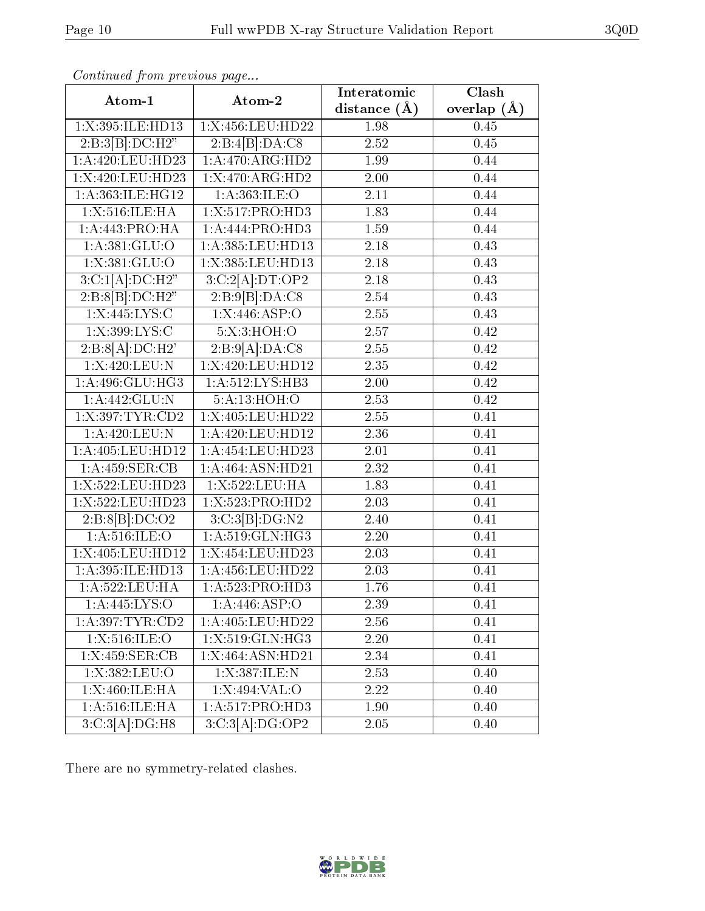| Continuati pom previous page |                             | Interatomic    | $\overline{\text{Clash}}$ |
|------------------------------|-----------------------------|----------------|---------------------------|
| Atom-1                       | Atom-2                      | distance $(A)$ | overlap $(A)$             |
| 1:X:395:ILE:HD13             | 1:X:456:LEU:HD22            | 1.98           | 0.45                      |
| 2:B:3[B]:DC:H2"              | $2:\overline{B:4[B]:DA:CS}$ | 2.52           | 0.45                      |
| 1:A:420:LEU:HD23             | 1:A:470:ARG:HD2             | 1.99           | 0.44                      |
| 1:X:420:LEU:HD23             | 1:X:470:ARG:HD2             | 2.00           | 0.44                      |
| 1: A:363: ILE: HG12          | 1: A:363: ILE: O            | 2.11           | 0.44                      |
| 1:X:516:ILE:HA               | 1:X:517:PRO:HD3             | 1.83           | 0.44                      |
| 1:A:443:PRO:HA               | 1:A:444:PRO:H <sub>D3</sub> | $1.59\,$       | 0.44                      |
| 1:A:381:GLU:O                | 1:A:385:LEU:HD13            | 2.18           | 0.43                      |
| 1: X: 381: GLU:O             | 1:X:385:LEU:HD13            | 2.18           | 0.43                      |
| 3:C:1[A]:DC:H2"              | 3:C:2[A].DT:OP2             | 2.18           | 0.43                      |
| 2:B:8[B]:DC:H2"              | 2:B:9[B]:DA:C8              | 2.54           | 0.43                      |
| 1:X:445:LYS:C                | 1: X:446: ASP:O             | 2.55           | 0.43                      |
| 1:X:399:LYS:C                | 5:X:3:HOH:O                 | 2.57           | 0.42                      |
| 2:B:8[A]:DC:H2'              | 2:B:9[A]:DA:CS              | 2.55           | 0.42                      |
| 1: X:420: LEU: N             | 1:X:420:LEU:HD12            | 2.35           | 0.42                      |
| 1:A:496:GLU:HG3              | 1:A:512:LYS:HB3             | 2.00           | 0.42                      |
| 1:A:442:GLU:N                | 5:A:13:HOH:O                | 2.53           | 0.42                      |
| 1: X:397: TYR:CD2            | 1:X:405:LEU:HD22            | 2.55           | 0.41                      |
| 1:A:420:LEU:N                | 1:A:420:LEU:HD12            | 2.36           | 0.41                      |
| 1:A:405:LEU:HD12             | 1:A:454:LEU:HD23            | 2.01           | 0.41                      |
| 1:A:459:SER:CB               | 1:A:464:ASN:HD21            | 2.32           | 0.41                      |
| 1:X:522:LEU:HD23             | 1:X:522:LEU:HA              | 1.83           | 0.41                      |
| 1:X:522:LEU:HD23             | 1:X:523:PRO:HD2             | 2.03           | 0.41                      |
| 2:B:8[B]:DC:O2               | 3:C:3[B]:DG:N2              | 2.40           | 0.41                      |
| 1: A:516: ILE: O             | 1: A:519: GLN: HG3          | 2.20           | 0.41                      |
| 1:X:405:LEU:HD12             | 1:X:454:LEU:HD23            | 2.03           | 0.41                      |
| 1:A:395:ILE:HD13             | 1:A:456:LEU:HD22            | 2.03           | 0.41                      |
| 1:A:522:LEU:HA               | 1: A: 523: PRO: HD3         | 1.76           | 0.41                      |
| 1:A:445:LYS:O                | 1:A:446:ASP:O               | 2.39           | 0.41                      |
| 1:A:397:TYR:CD2              | 1:A:405:LEU:HD22            | 2.56           | 0.41                      |
| 1:X:516:ILE:O                | 1:X:519:GLN:HG3             | 2.20           | 0.41                      |
| 1:X:459:SER:CB               | 1:X:464:ASN:HD21            | 2.34           | 0.41                      |
| 1:X:382:LEU:O                | 1: X: 387: ILE:N            | 2.53           | 0.40                      |
| 1:X:460:ILE:HA               | 1:X:494:VAL:O               | 2.22           | 0.40                      |
| 1:A:516:ILE:HA               | 1: A:517: PRO:HD3           | 1.90           | 0.40                      |
| 3:C:3[A]:DG:H8               | 3:C:3[A]:DG:OP2             | 2.05           | 0.40                      |

Continued from previous page.

There are no symmetry-related clashes.

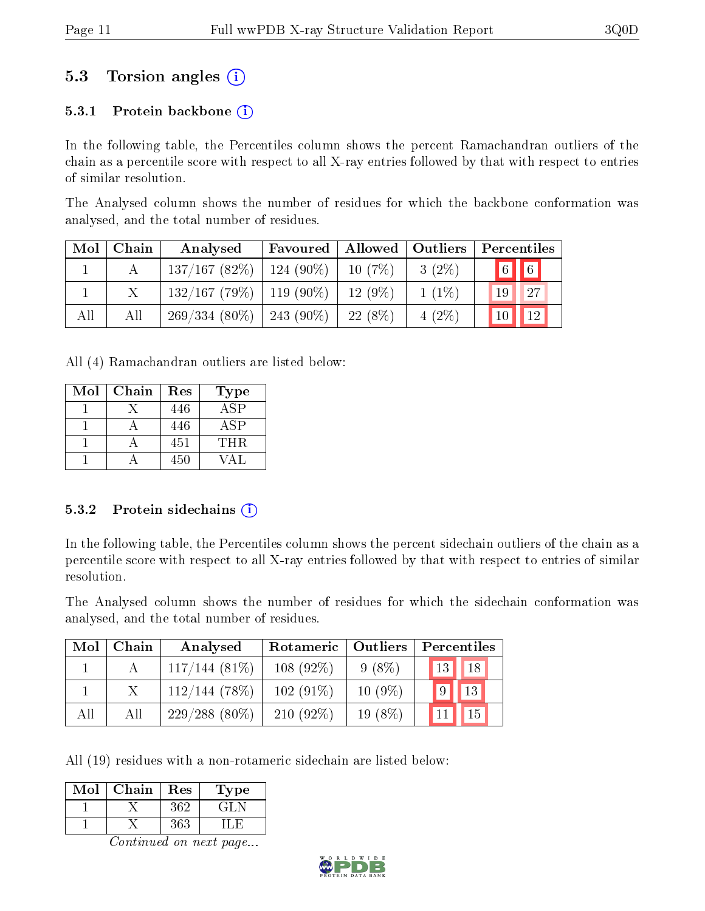### 5.3 Torsion angles (i)

#### 5.3.1 Protein backbone  $(i)$

In the following table, the Percentiles column shows the percent Ramachandran outliers of the chain as a percentile score with respect to all X-ray entries followed by that with respect to entries of similar resolution.

The Analysed column shows the number of residues for which the backbone conformation was analysed, and the total number of residues.

| Mol | Chain | Analysed                      | Favoured    | Allowed   | $\vert$ Outliers | Percentiles             |
|-----|-------|-------------------------------|-------------|-----------|------------------|-------------------------|
|     |       | 137/167(82%)                  | $124(90\%)$ | 10(7%)    | $3(2\%)$         | $\boxed{6}$ $\boxed{6}$ |
|     |       | $132/167$ (79\%)   119 (90\%) |             | $12(9\%)$ | $1(1\%)$         | 27<br>19                |
| All | All   | $269/334(80\%)$   243 (90\%)  |             | $22(8\%)$ | $4(2\%)$         | 12 <br>10 <sup>°</sup>  |

All (4) Ramachandran outliers are listed below:

| Mol | Chain | Res | Type |
|-----|-------|-----|------|
|     |       | 446 | A SP |
|     |       | 446 | ASP  |
|     |       | 451 | THR. |
|     |       | 450 | VA L |

#### 5.3.2 Protein sidechains  $(i)$

In the following table, the Percentiles column shows the percent sidechain outliers of the chain as a percentile score with respect to all X-ray entries followed by that with respect to entries of similar resolution.

The Analysed column shows the number of residues for which the sidechain conformation was analysed, and the total number of residues.

| Mol | Chain | Analysed        | Rotameric   Outliers |           | Percentiles           |
|-----|-------|-----------------|----------------------|-----------|-----------------------|
|     |       | 117/144(81%)    | $108(92\%)$          | $9(8\%)$  | 18 <sup>°</sup><br>13 |
|     |       | $112/144(78\%)$ | $102(91\%)$          | $10(9\%)$ | 13<br>9               |
| All | All   | $229/288(80\%)$ | $210(92\%)$          | $19(8\%)$ |                       |

All (19) residues with a non-rotameric sidechain are listed below:

| Mol | Chain | Res | $\Gamma$ ype    |
|-----|-------|-----|-----------------|
|     |       | 362 | $\rightarrow$ . |
|     |       | 363 |                 |

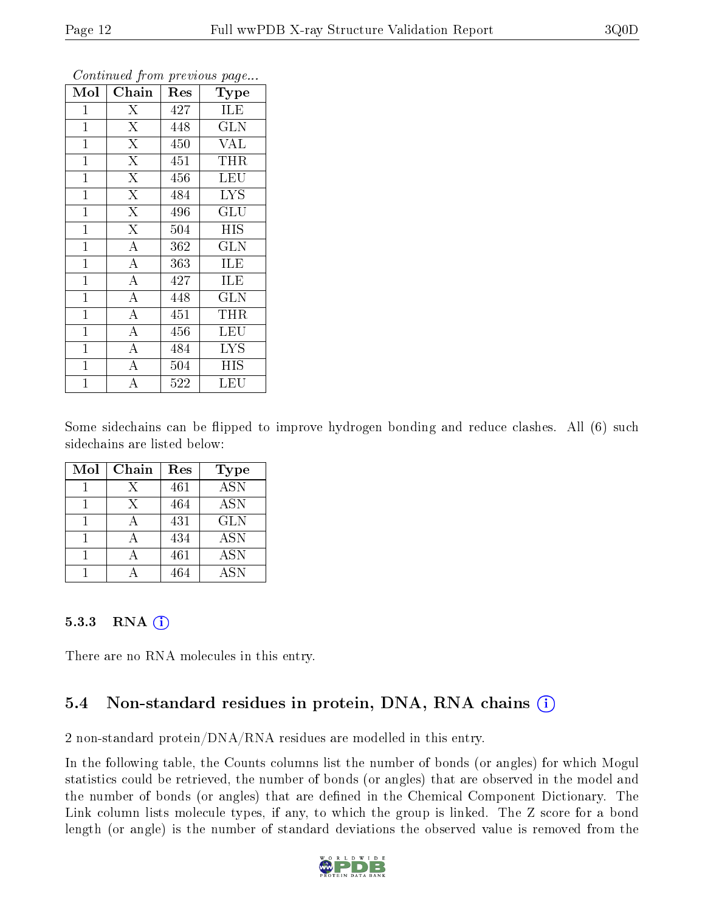| Mol            | Chain                   | Res              | Type        |
|----------------|-------------------------|------------------|-------------|
| $\mathbf{1}$   | $\overline{X}$          | 427              | ILE         |
| $\mathbf{1}$   | $\overline{\mathrm{X}}$ | 448              | GLN         |
| $\mathbf{1}$   | $\overline{\mathrm{X}}$ | 450              | <b>VAL</b>  |
| $\mathbf 1$    | $\overline{\mathrm{X}}$ | 451              | <b>THR</b>  |
| $\mathbf{1}$   | $\overline{\mathrm{X}}$ | 456              | LEU         |
| $\mathbf{1}$   | $\overline{\mathrm{X}}$ | 484              | <b>LYS</b>  |
| $\mathbf{1}$   | $\overline{\mathrm{X}}$ | 496              | GLU         |
| $\mathbf{1}$   | $\overline{\mathrm{X}}$ | 504              | <b>HIS</b>  |
| $\mathbf{1}$   | $\overline{A}$          | 362              | <b>GLN</b>  |
| $\overline{1}$ | $\overline{A}$          | 363              | <b>ILE</b>  |
| $\overline{1}$ | $\overline{A}$          | 427              | ILE         |
| $\overline{1}$ | $\overline{\rm A}$      | 448              | <b>GLN</b>  |
| $\mathbf{1}$   | $\overline{\rm A}$      | 451              | THR         |
| $\mathbf 1$    | $\overline{\rm A}$      | 456              | LEU         |
| 1              | $\overline{\rm A}$      | 484              | <b>LYS</b>  |
| $\mathbf 1$    | $\boldsymbol{A}$        | 504              | НIS         |
| $\overline{1}$ | А                       | $\overline{5}22$ | ${\rm LEU}$ |

Continued from previous page...

Some sidechains can be flipped to improve hydrogen bonding and reduce clashes. All (6) such sidechains are listed below:

| Mol | Chain | Res | <b>Type</b>               |
|-----|-------|-----|---------------------------|
|     | X     | 461 | $\overline{\mathrm{ASN}}$ |
|     | X     | 464 | <b>ASN</b>                |
|     |       | 431 | <b>GLN</b>                |
|     |       | 434 | ASN                       |
|     |       | 461 | <b>ASN</b>                |
|     |       |     | ASN                       |

#### 5.3.3 RNA  $(i)$

There are no RNA molecules in this entry.

### 5.4 Non-standard residues in protein, DNA, RNA chains  $(i)$

2 non-standard protein/DNA/RNA residues are modelled in this entry.

In the following table, the Counts columns list the number of bonds (or angles) for which Mogul statistics could be retrieved, the number of bonds (or angles) that are observed in the model and the number of bonds (or angles) that are defined in the Chemical Component Dictionary. The Link column lists molecule types, if any, to which the group is linked. The Z score for a bond length (or angle) is the number of standard deviations the observed value is removed from the

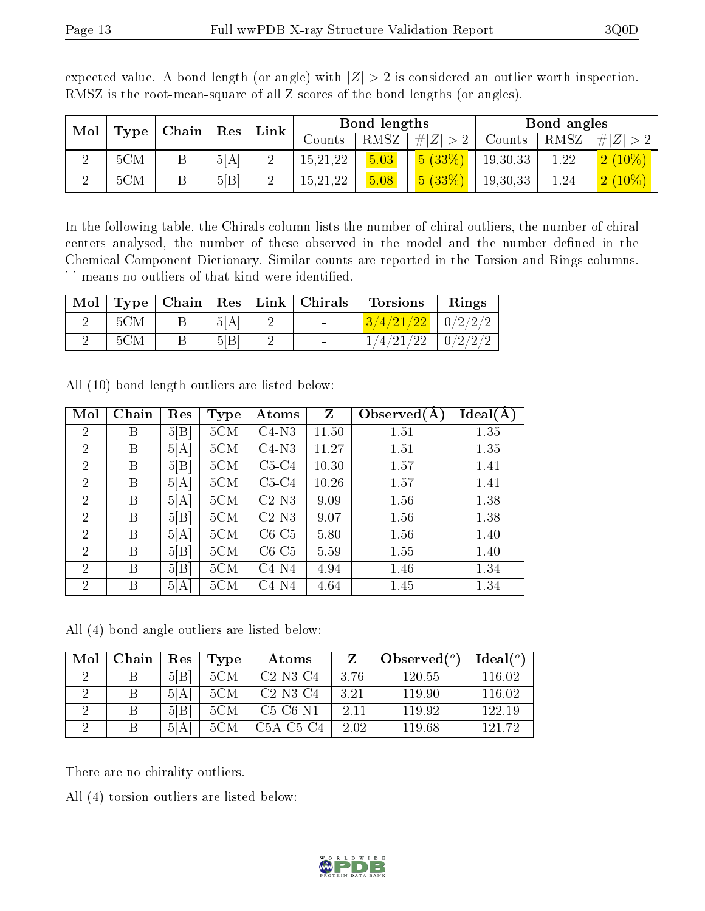| Mol<br>Type | Chain | $\operatorname{Res}$ |      | Link | Bond lengths |      |                  | Bond angles |      |           |
|-------------|-------|----------------------|------|------|--------------|------|------------------|-------------|------|-----------|
|             |       |                      |      |      | Counts       | RMSZ | H Z <br>$\geq 2$ | Counts      | RMSZ | Z <br>#   |
| റ           | 5CM   |                      | 5[A] |      | 15,21,22     | 5.03 | 5(33%)           | 19,30,33    | ാറ   | $2(10\%)$ |
| റ           | 5CM   |                      | 5 B  |      | 15,21,22     | 5.08 | 5(33%)           | 19,30,33    | 1.24 | $2(10\%)$ |

expected value. A bond length (or angle) with  $|Z| > 2$  is considered an outlier worth inspection. RMSZ is the root-mean-square of all Z scores of the bond lengths (or angles).

In the following table, the Chirals column lists the number of chiral outliers, the number of chiral centers analysed, the number of these observed in the model and the number defined in the Chemical Component Dictionary. Similar counts are reported in the Torsion and Rings columns. '-' means no outliers of that kind were identified.

| Mol |     |      | $\vert$ Type $\vert$ Chain $\vert$ Res $\vert$ Link $\vert$ Chirals | <b>Torsions</b>         | Rings         |
|-----|-----|------|---------------------------------------------------------------------|-------------------------|---------------|
|     | 5CM | 5[A] | <b>Section</b>                                                      | $3/4/21/22$   $0/2/2/2$ |               |
|     | 5CM | 5 B  |                                                                     | 1/4/21/22               | $\pm 0/2/2/2$ |

| Mol            | Chain | Res  | <b>Type</b> | Atoms   | Z     | Observed $(A)$ | Ideal(A) |
|----------------|-------|------|-------------|---------|-------|----------------|----------|
| 2              | Β     | 5 B  | 5CM         | $C4-N3$ | 11.50 | 1.51           | 1.35     |
| $\overline{2}$ | B     | 5 A  | 5CM         | $C4-N3$ | 11.27 | 1.51           | 1.35     |
| $\overline{2}$ | B     | 5 B  | 5CM         | $C5-C4$ | 10.30 | 1.57           | 1.41     |
| $\overline{2}$ | Β     | 5[A] | 5CM         | $C5-C4$ | 10.26 | 1.57           | 1.41     |
| 2              | B     | 5[A] | 5CM         | $C2-N3$ | 9.09  | 1.56           | 1.38     |
| $\overline{2}$ | B     | 5 B  | 5CM         | $C2-N3$ | 9.07  | 1.56           | 1.38     |
| $\overline{2}$ | Β     | 5[A] | 5CM         | $C6-C5$ | 5.80  | 1.56           | 1.40     |
| $\overline{2}$ | B     | 5 B  | 5CM         | $C6-C5$ | 5.59  | 1.55           | 1.40     |
| $\overline{2}$ | В     | 5 B  | 5CM         | $C4-N4$ | 4.94  | 1.46           | 1.34     |
| $\overline{2}$ | Β     | 5[A] | 5CM         | $C4-N4$ | 4.64  | 1.45           | 1.34     |

All (10) bond length outliers are listed below:

All (4) bond angle outliers are listed below:

| Mol | Chain | $\operatorname{Res}% \left( \mathcal{N}\right) \equiv\operatorname{Res}(\mathcal{N}_{0},\mathcal{N}_{0})$ | Type | Atoms       |         | Observed $(°)$ | Ideal $({}^o)$ |
|-----|-------|-----------------------------------------------------------------------------------------------------------|------|-------------|---------|----------------|----------------|
|     |       | 5 B                                                                                                       | 5CM  | $C2-N3-C4$  | 3.76    | 120.55         | 116.02         |
|     |       | 5[A]                                                                                                      | 5CM  | $C2-N3-C4$  | 3.21    | 119.90         | 116.02         |
|     |       | 5 B                                                                                                       | 5CM  | $C5-C6-N1$  | $-2.11$ | 11992          | 122.19         |
|     |       | 5[A]                                                                                                      | 5CM  | $C5A-C5-C4$ | $-2.02$ | 119.68         | 191-79         |

There are no chirality outliers.

All (4) torsion outliers are listed below:

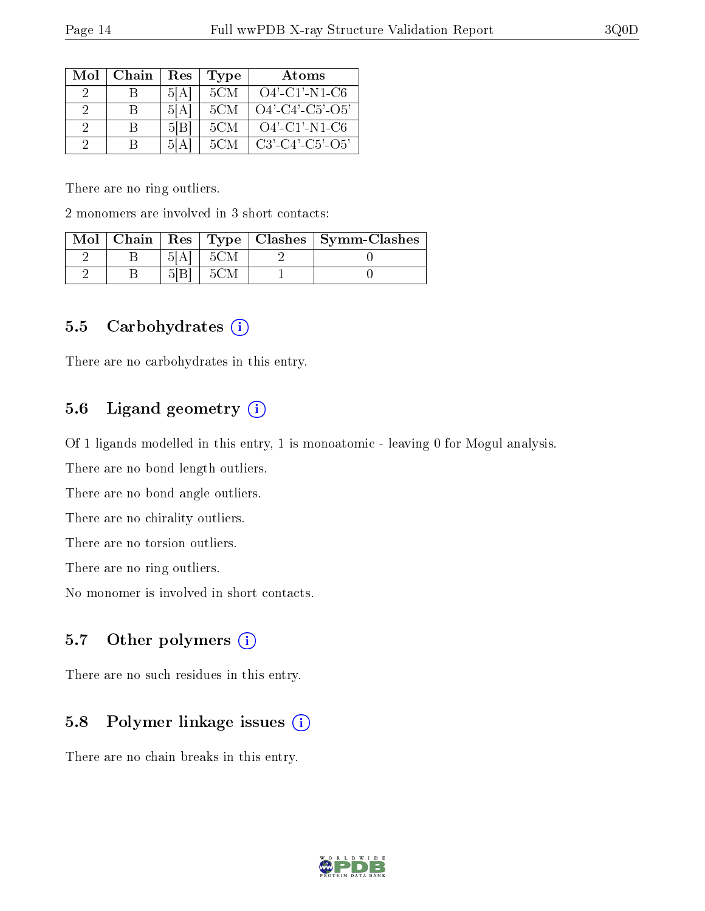| Mol | Chain | Res     | Type | Atoms              |
|-----|-------|---------|------|--------------------|
|     |       | 51 A I  | 5CM  | $O4'$ -C1'-N1-C6   |
| 9   |       | 5 A     | 5CM  | $O4'$ -C4'-C5'-O5' |
| 2   | R     | 5 B     | 5CM  | $O4'$ -C1'-N1-C6   |
| - 2 |       | А<br>וה | 5CM  | $C3'-C4'-C5'-O5'$  |

There are no ring outliers.

2 monomers are involved in 3 short contacts:

|  |  | Mol   Chain   Res   Type   Clashes   Symm-Clashes |
|--|--|---------------------------------------------------|
|  |  |                                                   |
|  |  |                                                   |

#### 5.5 Carbohydrates  $(i)$

There are no carbohydrates in this entry.

### 5.6 Ligand geometry (i)

Of 1 ligands modelled in this entry, 1 is monoatomic - leaving 0 for Mogul analysis.

There are no bond length outliers.

There are no bond angle outliers.

There are no chirality outliers.

There are no torsion outliers.

There are no ring outliers.

No monomer is involved in short contacts.

#### 5.7 [O](https://www.wwpdb.org/validation/2017/XrayValidationReportHelp#nonstandard_residues_and_ligands)ther polymers  $(i)$

There are no such residues in this entry.

### 5.8 Polymer linkage issues  $(i)$

There are no chain breaks in this entry.

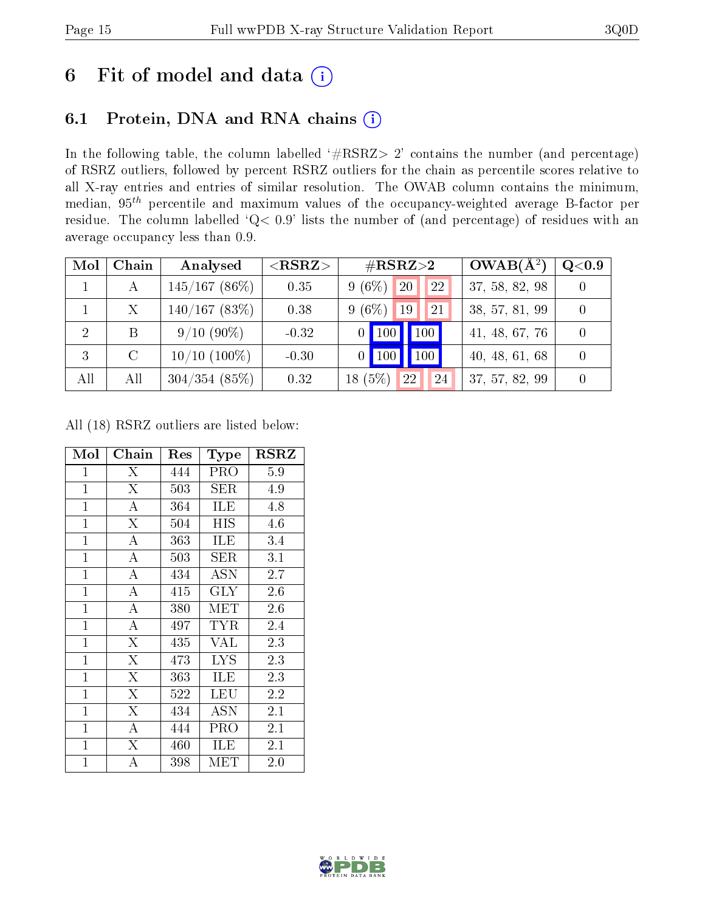# 6 Fit of model and data  $(i)$

# 6.1 Protein, DNA and RNA chains  $(i)$

In the following table, the column labelled  $#RSRZ> 2'$  contains the number (and percentage) of RSRZ outliers, followed by percent RSRZ outliers for the chain as percentile scores relative to all X-ray entries and entries of similar resolution. The OWAB column contains the minimum, median,  $95<sup>th</sup>$  percentile and maximum values of the occupancy-weighted average B-factor per residue. The column labelled ' $Q< 0.9$ ' lists the number of (and percentage) of residues with an average occupancy less than 0.9.

| Mol | Chain        | Analysed          | $<$ RSRZ $>$ | $\#\text{RSRZ}{>}2$             | $OWAB(A^2)$    | $\rm Q\textcolor{black}{<}0.9$ |
|-----|--------------|-------------------|--------------|---------------------------------|----------------|--------------------------------|
|     | A            | $145/167$ (86\%)  | 0.35         | $9(6\%)$<br>$ 20\rangle$<br>22  | 37, 58, 82, 98 |                                |
|     | $\mathbf{X}$ | $140/167$ (83\%)  | 0.38         | $9(6\%)$<br><sup>19</sup><br>21 | 38, 57, 81, 99 |                                |
| 2   |              | $9/10(90\%)$      | $-0.32$      | $\vert$ 100<br>$0$   100        | 41, 48, 67, 76 |                                |
| -3  | $\rm C$      | $10/10$ $(100\%)$ | $-0.30$      | 100<br>$\blacksquare$ 100       | 40, 48, 61, 68 |                                |
| All | All          | $304/354$ (85%)   | 0.32         | (5%)<br>22<br>24<br>18          | 37, 57, 82, 99 |                                |

All (18) RSRZ outliers are listed below:

| Mol          | ${\rm Chain}$           | Res | Type       | $_{\rm RSRZ}$ |
|--------------|-------------------------|-----|------------|---------------|
| 1            | X                       | 444 | PRO        | 5.9           |
| $\mathbf 1$  | $\overline{\mathrm{X}}$ | 503 | <b>SER</b> | 4.9           |
| $\mathbf{1}$ | A                       | 364 | ILE        | 4.8           |
| $\mathbf{1}$ | $\overline{\mathrm{X}}$ | 504 | HIS        | 4.6           |
| $\mathbf{1}$ | $\overline{\rm A}$      | 363 | ILE        | 3.4           |
| $\mathbf{1}$ | $\overline{A}$          | 503 | SER        | 3.1           |
| $\mathbf{1}$ | $\overline{A}$          | 434 | ASN        | 2.7           |
| $\mathbf{1}$ | $\overline{\rm A}$      | 415 | $\rm GLY$  | 2.6           |
| $\mathbf{1}$ | $\overline{A}$          | 380 | MET        | 2.6           |
| $\mathbf{1}$ | $\overline{\rm A}$      | 497 | TYR        | 2.4           |
| $\mathbf{1}$ | $\overline{\mathrm{X}}$ | 435 | VAL        | 2.3           |
| $\mathbf{1}$ | X                       | 473 | <b>LYS</b> | 2.3           |
| $\mathbf{1}$ | $\overline{X}$          | 363 | ILE        | 2.3           |
| $\mathbf{1}$ | X                       | 522 | LEU        | 2.2           |
| $\mathbf 1$  | $\overline{\mathrm{X}}$ | 434 | <b>ASN</b> | $2.1\,$       |
| $\mathbf 1$  | А                       | 444 | PRO        | $2.1\,$       |
| 1            | $\overline{\mathrm{X}}$ | 460 | ILE        | 2.1           |
| 1            | Α                       | 398 | МЕТ        | $2.0\,$       |